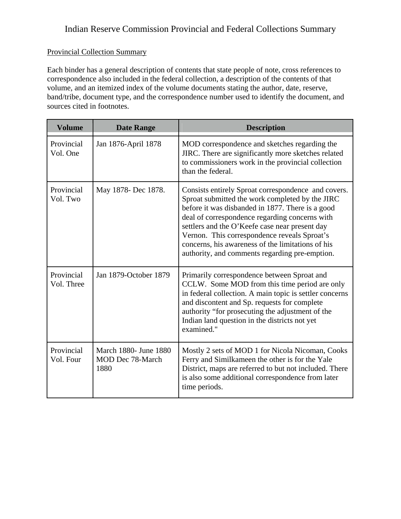#### Provincial Collection Summary

Each binder has a general description of contents that state people of note, cross references to correspondence also included in the federal collection, a description of the contents of that volume, and an itemized index of the volume documents stating the author, date, reserve, band/tribe, document type, and the correspondence number used to identify the document, and sources cited in footnotes.

| <b>Volume</b>            | <b>Date Range</b>                                        | <b>Description</b>                                                                                                                                                                                                                                                                                                                                                                                                    |
|--------------------------|----------------------------------------------------------|-----------------------------------------------------------------------------------------------------------------------------------------------------------------------------------------------------------------------------------------------------------------------------------------------------------------------------------------------------------------------------------------------------------------------|
| Provincial<br>Vol. One   | Jan 1876-April 1878                                      | MOD correspondence and sketches regarding the<br>JIRC. There are significantly more sketches related<br>to commissioners work in the provincial collection<br>than the federal.                                                                                                                                                                                                                                       |
| Provincial<br>Vol. Two   | May 1878- Dec 1878.                                      | Consists entirely Sproat correspondence and covers.<br>Sproat submitted the work completed by the JIRC<br>before it was disbanded in 1877. There is a good<br>deal of correspondence regarding concerns with<br>settlers and the O'Keefe case near present day<br>Vernon. This correspondence reveals Sproat's<br>concerns, his awareness of the limitations of his<br>authority, and comments regarding pre-emption. |
| Provincial<br>Vol. Three | Jan 1879-October 1879                                    | Primarily correspondence between Sproat and<br>CCLW. Some MOD from this time period are only<br>in federal collection. A main topic is settler concerns<br>and discontent and Sp. requests for complete<br>authority "for prosecuting the adjustment of the<br>Indian land question in the districts not yet<br>examined."                                                                                            |
| Provincial<br>Vol. Four  | March 1880- June 1880<br><b>MOD Dec 78-March</b><br>1880 | Mostly 2 sets of MOD 1 for Nicola Nicoman, Cooks<br>Ferry and Similkameen the other is for the Yale<br>District, maps are referred to but not included. There<br>is also some additional correspondence from later<br>time periods.                                                                                                                                                                                   |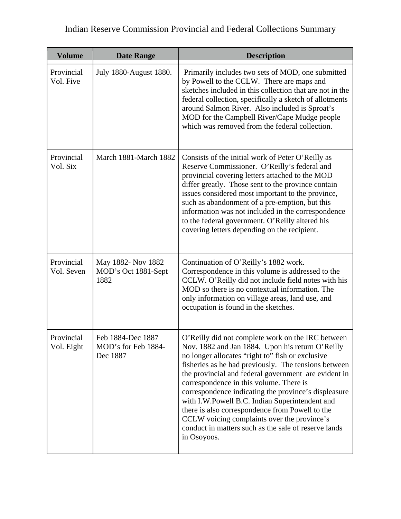| <b>Volume</b>            | <b>Date Range</b>                                    | <b>Description</b>                                                                                                                                                                                                                                                                                                                                                                                                                                                                                                                                                                                      |
|--------------------------|------------------------------------------------------|---------------------------------------------------------------------------------------------------------------------------------------------------------------------------------------------------------------------------------------------------------------------------------------------------------------------------------------------------------------------------------------------------------------------------------------------------------------------------------------------------------------------------------------------------------------------------------------------------------|
| Provincial<br>Vol. Five  | July 1880-August 1880.                               | Primarily includes two sets of MOD, one submitted<br>by Powell to the CCLW. There are maps and<br>sketches included in this collection that are not in the<br>federal collection, specifically a sketch of allotments<br>around Salmon River. Also included is Sproat's<br>MOD for the Campbell River/Cape Mudge people<br>which was removed from the federal collection.                                                                                                                                                                                                                               |
| Provincial<br>Vol. Six   | March 1881-March 1882                                | Consists of the initial work of Peter O'Reilly as<br>Reserve Commissioner. O'Reilly's federal and<br>provincial covering letters attached to the MOD<br>differ greatly. Those sent to the province contain<br>issues considered most important to the province,<br>such as abandonment of a pre-emption, but this<br>information was not included in the correspondence<br>to the federal government. O'Reilly altered his<br>covering letters depending on the recipient.                                                                                                                              |
| Provincial<br>Vol. Seven | May 1882- Nov 1882<br>MOD's Oct 1881-Sept<br>1882    | Continuation of O'Reilly's 1882 work.<br>Correspondence in this volume is addressed to the<br>CCLW. O'Reilly did not include field notes with his<br>MOD so there is no contextual information. The<br>only information on village areas, land use, and<br>occupation is found in the sketches.                                                                                                                                                                                                                                                                                                         |
| Provincial<br>Vol. Eight | Feb 1884-Dec 1887<br>MOD's for Feb 1884-<br>Dec 1887 | O'Reilly did not complete work on the IRC between<br>Nov. 1882 and Jan 1884. Upon his return O'Reilly<br>no longer allocates "right to" fish or exclusive<br>fisheries as he had previously. The tensions between<br>the provincial and federal government are evident in<br>correspondence in this volume. There is<br>correspondence indicating the province's displeasure<br>with I.W.Powell B.C. Indian Superintendent and<br>there is also correspondence from Powell to the<br>CCLW voicing complaints over the province's<br>conduct in matters such as the sale of reserve lands<br>in Osoyoos. |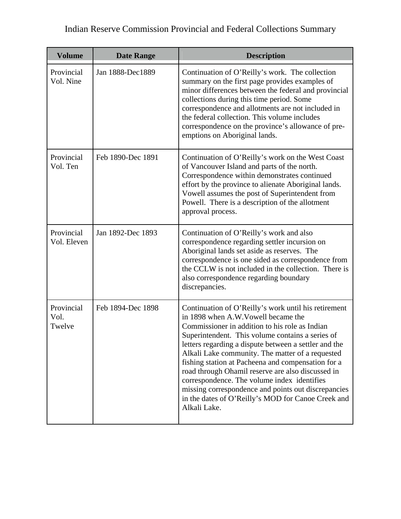| <b>Volume</b>                | <b>Date Range</b> | <b>Description</b>                                                                                                                                                                                                                                                                                                                                                                                                                                                                                                                                                                                    |
|------------------------------|-------------------|-------------------------------------------------------------------------------------------------------------------------------------------------------------------------------------------------------------------------------------------------------------------------------------------------------------------------------------------------------------------------------------------------------------------------------------------------------------------------------------------------------------------------------------------------------------------------------------------------------|
| Provincial<br>Vol. Nine      | Jan 1888-Dec1889  | Continuation of O'Reilly's work. The collection<br>summary on the first page provides examples of<br>minor differences between the federal and provincial<br>collections during this time period. Some<br>correspondence and allotments are not included in<br>the federal collection. This volume includes<br>correspondence on the province's allowance of pre-<br>emptions on Aboriginal lands.                                                                                                                                                                                                    |
| Provincial<br>Vol. Ten       | Feb 1890-Dec 1891 | Continuation of O'Reilly's work on the West Coast<br>of Vancouver Island and parts of the north.<br>Correspondence within demonstrates continued<br>effort by the province to alienate Aboriginal lands.<br>Vowell assumes the post of Superintendent from<br>Powell. There is a description of the allotment<br>approval process.                                                                                                                                                                                                                                                                    |
| Provincial<br>Vol. Eleven    | Jan 1892-Dec 1893 | Continuation of O'Reilly's work and also<br>correspondence regarding settler incursion on<br>Aboriginal lands set aside as reserves. The<br>correspondence is one sided as correspondence from<br>the CCLW is not included in the collection. There is<br>also correspondence regarding boundary<br>discrepancies.                                                                                                                                                                                                                                                                                    |
| Provincial<br>Vol.<br>Twelve | Feb 1894-Dec 1898 | Continuation of O'Reilly's work until his retirement<br>in 1898 when A.W. Vowell became the<br>Commissioner in addition to his role as Indian<br>Superintendent. This volume contains a series of<br>letters regarding a dispute between a settler and the<br>Alkali Lake community. The matter of a requested<br>fishing station at Pacheena and compensation for a<br>road through Ohamil reserve are also discussed in<br>correspondence. The volume index identifies<br>missing correspondence and points out discrepancies<br>in the dates of O'Reilly's MOD for Canoe Creek and<br>Alkali Lake. |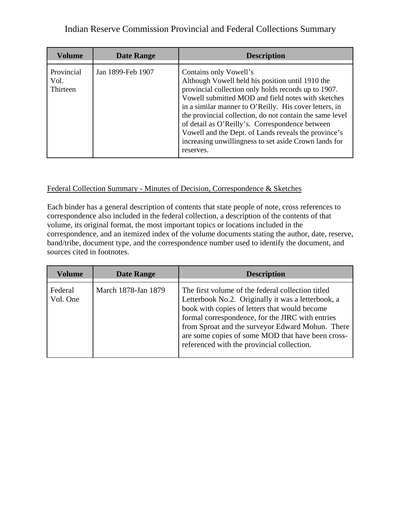| <b>Volume</b>                  | <b>Date Range</b> | <b>Description</b>                                                                                                                                                                                                                                                                                                                                                                                                                                                                              |
|--------------------------------|-------------------|-------------------------------------------------------------------------------------------------------------------------------------------------------------------------------------------------------------------------------------------------------------------------------------------------------------------------------------------------------------------------------------------------------------------------------------------------------------------------------------------------|
| Provincial<br>Vol.<br>Thirteen | Jan 1899-Feb 1907 | Contains only Vowell's<br>Although Vowell held his position until 1910 the<br>provincial collection only holds records up to 1907.<br>Vowell submitted MOD and field notes with sketches<br>in a similar manner to O'Reilly. His cover letters, in<br>the provincial collection, do not contain the same level<br>of detail as O'Reilly's. Correspondence between<br>Vowell and the Dept. of Lands reveals the province's<br>increasing unwillingness to set aside Crown lands for<br>reserves. |

#### Federal Collection Summary - Minutes of Decision, Correspondence & Sketches

Each binder has a general description of contents that state people of note, cross references to correspondence also included in the federal collection, a description of the contents of that volume, its original format, the most important topics or locations included in the correspondence, and an itemized index of the volume documents stating the author, date, reserve, band/tribe, document type, and the correspondence number used to identify the document, and sources cited in footnotes.

| <b>Volume</b>       | <b>Date Range</b>   | <b>Description</b>                                                                                                                                                                                                                                                                                                                                                  |
|---------------------|---------------------|---------------------------------------------------------------------------------------------------------------------------------------------------------------------------------------------------------------------------------------------------------------------------------------------------------------------------------------------------------------------|
| Federal<br>Vol. One | March 1878-Jan 1879 | The first volume of the federal collection titled<br>Letterbook No.2. Originally it was a letterbook, a<br>book with copies of letters that would become<br>formal correspondence, for the JIRC with entries<br>from Sproat and the surveyor Edward Mohun. There<br>are some copies of some MOD that have been cross-<br>referenced with the provincial collection. |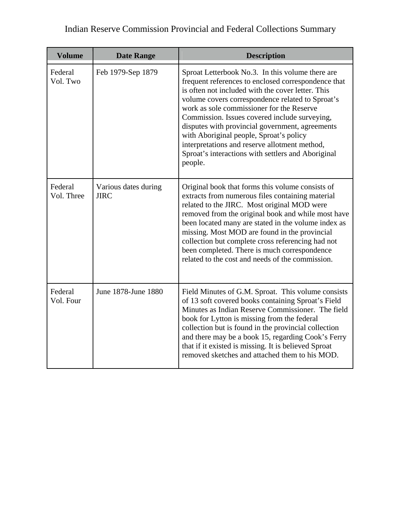| Indian Reserve Commission Provincial and Federal Collections Summary |  |  |  |
|----------------------------------------------------------------------|--|--|--|
|----------------------------------------------------------------------|--|--|--|

| <b>Volume</b>         | <b>Date Range</b>                   | <b>Description</b>                                                                                                                                                                                                                                                                                                                                                                                                                                                                                                             |
|-----------------------|-------------------------------------|--------------------------------------------------------------------------------------------------------------------------------------------------------------------------------------------------------------------------------------------------------------------------------------------------------------------------------------------------------------------------------------------------------------------------------------------------------------------------------------------------------------------------------|
| Federal<br>Vol. Two   | Feb 1979-Sep 1879                   | Sproat Letterbook No.3. In this volume there are<br>frequent references to enclosed correspondence that<br>is often not included with the cover letter. This<br>volume covers correspondence related to Sproat's<br>work as sole commissioner for the Reserve<br>Commission. Issues covered include surveying,<br>disputes with provincial government, agreements<br>with Aboriginal people, Sproat's policy<br>interpretations and reserve allotment method,<br>Sproat's interactions with settlers and Aboriginal<br>people. |
| Federal<br>Vol. Three | Various dates during<br><b>JIRC</b> | Original book that forms this volume consists of<br>extracts from numerous files containing material<br>related to the JIRC. Most original MOD were<br>removed from the original book and while most have<br>been located many are stated in the volume index as<br>missing. Most MOD are found in the provincial<br>collection but complete cross referencing had not<br>been completed. There is much correspondence<br>related to the cost and needs of the commission.                                                     |
| Federal<br>Vol. Four  | June 1878-June 1880                 | Field Minutes of G.M. Sproat. This volume consists<br>of 13 soft covered books containing Sproat's Field<br>Minutes as Indian Reserve Commissioner. The field<br>book for Lytton is missing from the federal<br>collection but is found in the provincial collection<br>and there may be a book 15, regarding Cook's Ferry<br>that if it existed is missing. It is believed Sproat<br>removed sketches and attached them to his MOD.                                                                                           |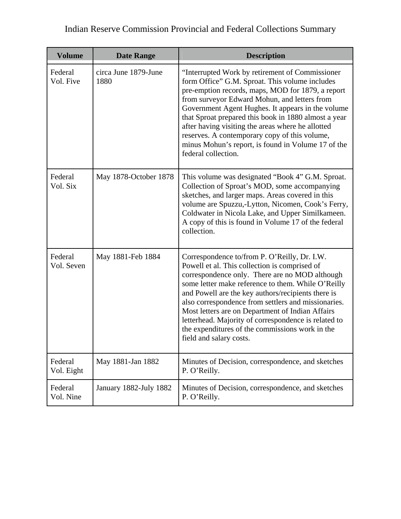| <b>Volume</b>         | <b>Date Range</b>            | <b>Description</b>                                                                                                                                                                                                                                                                                                                                                                                                                                                                                           |
|-----------------------|------------------------------|--------------------------------------------------------------------------------------------------------------------------------------------------------------------------------------------------------------------------------------------------------------------------------------------------------------------------------------------------------------------------------------------------------------------------------------------------------------------------------------------------------------|
| Federal<br>Vol. Five  | circa June 1879-June<br>1880 | "Interrupted Work by retirement of Commissioner<br>form Office" G.M. Sproat. This volume includes<br>pre-emption records, maps, MOD for 1879, a report<br>from surveyor Edward Mohun, and letters from<br>Government Agent Hughes. It appears in the volume<br>that Sproat prepared this book in 1880 almost a year<br>after having visiting the areas where he allotted<br>reserves. A contemporary copy of this volume,<br>minus Mohun's report, is found in Volume 17 of the<br>federal collection.       |
| Federal<br>Vol. Six   | May 1878-October 1878        | This volume was designated "Book 4" G.M. Sproat.<br>Collection of Sproat's MOD, some accompanying<br>sketches, and larger maps. Areas covered in this<br>volume are Spuzzu,-Lytton, Nicomen, Cook's Ferry,<br>Coldwater in Nicola Lake, and Upper Similkameen.<br>A copy of this is found in Volume 17 of the federal<br>collection.                                                                                                                                                                         |
| Federal<br>Vol. Seven | May 1881-Feb 1884            | Correspondence to/from P. O'Reilly, Dr. I.W.<br>Powell et al. This collection is comprised of<br>correspondence only. There are no MOD although<br>some letter make reference to them. While O'Reilly<br>and Powell are the key authors/recipients there is<br>also correspondence from settlers and missionaries.<br>Most letters are on Department of Indian Affairs<br>letterhead. Majority of correspondence is related to<br>the expenditures of the commissions work in the<br>field and salary costs. |
| Federal<br>Vol. Eight | May 1881-Jan 1882            | Minutes of Decision, correspondence, and sketches<br>P. O'Reilly.                                                                                                                                                                                                                                                                                                                                                                                                                                            |
| Federal<br>Vol. Nine  | January 1882-July 1882       | Minutes of Decision, correspondence, and sketches<br>P. O'Reilly.                                                                                                                                                                                                                                                                                                                                                                                                                                            |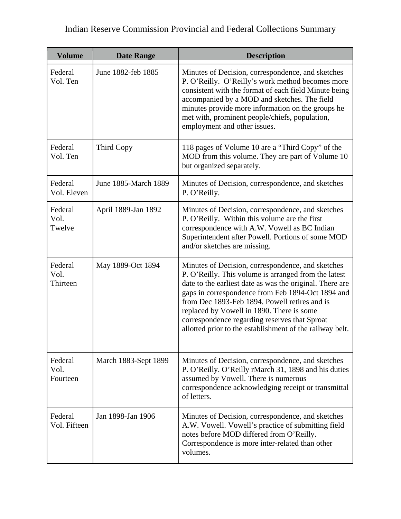| <b>Volume</b>               | <b>Date Range</b>    | <b>Description</b>                                                                                                                                                                                                                                                                                                                                                                                                                    |
|-----------------------------|----------------------|---------------------------------------------------------------------------------------------------------------------------------------------------------------------------------------------------------------------------------------------------------------------------------------------------------------------------------------------------------------------------------------------------------------------------------------|
| Federal<br>Vol. Ten         | June 1882-feb 1885   | Minutes of Decision, correspondence, and sketches<br>P. O'Reilly. O'Reilly's work method becomes more<br>consistent with the format of each field Minute being<br>accompanied by a MOD and sketches. The field<br>minutes provide more information on the groups he<br>met with, prominent people/chiefs, population,<br>employment and other issues.                                                                                 |
| Federal<br>Vol. Ten         | Third Copy           | 118 pages of Volume 10 are a "Third Copy" of the<br>MOD from this volume. They are part of Volume 10<br>but organized separately.                                                                                                                                                                                                                                                                                                     |
| Federal<br>Vol. Eleven      | June 1885-March 1889 | Minutes of Decision, correspondence, and sketches<br>P. O'Reilly.                                                                                                                                                                                                                                                                                                                                                                     |
| Federal<br>Vol.<br>Twelve   | April 1889-Jan 1892  | Minutes of Decision, correspondence, and sketches<br>P. O'Reilly. Within this volume are the first<br>correspondence with A.W. Vowell as BC Indian<br>Superintendent after Powell. Portions of some MOD<br>and/or sketches are missing.                                                                                                                                                                                               |
| Federal<br>Vol.<br>Thirteen | May 1889-Oct 1894    | Minutes of Decision, correspondence, and sketches<br>P. O'Reilly. This volume is arranged from the latest<br>date to the earliest date as was the original. There are<br>gaps in correspondence from Feb 1894-Oct 1894 and<br>from Dec 1893-Feb 1894. Powell retires and is<br>replaced by Vowell in 1890. There is some<br>correspondence regarding reserves that Sproat<br>allotted prior to the establishment of the railway belt. |
| Federal<br>Vol.<br>Fourteen | March 1883-Sept 1899 | Minutes of Decision, correspondence, and sketches<br>P. O'Reilly. O'Reilly rMarch 31, 1898 and his duties<br>assumed by Vowell. There is numerous<br>correspondence acknowledging receipt or transmittal<br>of letters.                                                                                                                                                                                                               |
| Federal<br>Vol. Fifteen     | Jan 1898-Jan 1906    | Minutes of Decision, correspondence, and sketches<br>A.W. Vowell. Vowell's practice of submitting field<br>notes before MOD differed from O'Reilly.<br>Correspondence is more inter-related than other<br>volumes.                                                                                                                                                                                                                    |